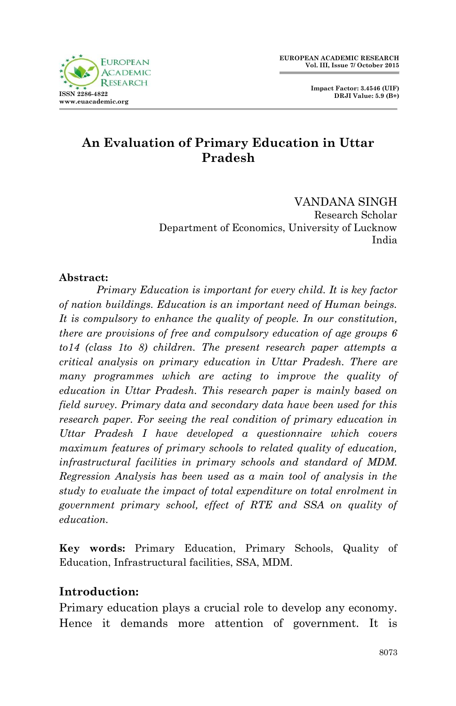

 **Impact Factor: 3.4546 (UIF) DRJI Value: 5.9 (B+)**

# **An Evaluation of Primary Education in Uttar Pradesh**

VANDANA SINGH Research Scholar Department of Economics, University of Lucknow India

### **Abstract:**

*Primary Education is important for every child. It is key factor of nation buildings. Education is an important need of Human beings. It is compulsory to enhance the quality of people. In our constitution, there are provisions of free and compulsory education of age groups 6 to14 (class 1to 8) children. The present research paper attempts a critical analysis on primary education in Uttar Pradesh. There are many programmes which are acting to improve the quality of education in Uttar Pradesh. This research paper is mainly based on field survey. Primary data and secondary data have been used for this research paper. For seeing the real condition of primary education in Uttar Pradesh I have developed a questionnaire which covers maximum features of primary schools to related quality of education, infrastructural facilities in primary schools and standard of MDM. Regression Analysis has been used as a main tool of analysis in the study to evaluate the impact of total expenditure on total enrolment in government primary school, effect of RTE and SSA on quality of education.*

**Key words:** Primary Education, Primary Schools, Quality of Education, Infrastructural facilities, SSA, MDM.

### **Introduction:**

Primary education plays a crucial role to develop any economy. Hence it demands more attention of government. It is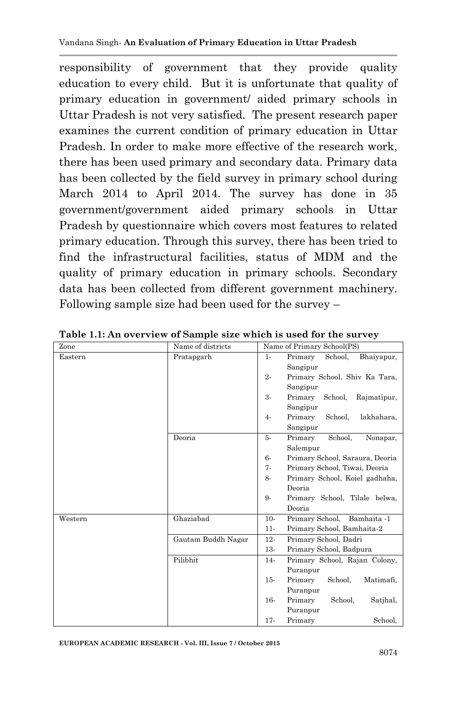responsibility of government that they provide quality education to every child. But it is unfortunate that quality of primary education in government/ aided primary schools in Uttar Pradesh is not very satisfied. The present research paper examines the current condition of primary education in Uttar Pradesh. In order to make more effective of the research work, there has been used primary and secondary data. Primary data has been collected by the field survey in primary school during March 2014 to April 2014. The survey has done in 35 government/government aided primary schools in Uttar Pradesh by questionnaire which covers most features to related primary education. Through this survey, there has been tried to find the infrastructural facilities, status of MDM and the quality of primary education in primary schools. Secondary data has been collected from different government machinery. Following sample size had been used for the survey –

| Zone    | Name of districts  | Name of Primary School(PS) |                                   |  |  |
|---------|--------------------|----------------------------|-----------------------------------|--|--|
| Eastern | Pratapgarh         | $1 -$                      | Primary<br>School,<br>Bhaiyapur,  |  |  |
|         |                    |                            | Sangipur                          |  |  |
|         |                    | $2 -$                      | Primary School, Shiv Ka Tara,     |  |  |
|         |                    |                            | Sangipur                          |  |  |
|         |                    | 3-                         | Primary<br>School,<br>Rajmatipur, |  |  |
|         |                    |                            | Sangipur                          |  |  |
|         |                    | $4-$                       | School,<br>Primary<br>lakhahara,  |  |  |
|         |                    |                            | Sangipur                          |  |  |
|         | Deoria             | 5-                         | School,<br>Primary<br>Nonapar,    |  |  |
|         |                    |                            | Salempur                          |  |  |
|         |                    | $6-$                       | Primary School, Saraura, Deoria   |  |  |
|         |                    | $7 -$                      | Primary School, Tiwai, Deoria     |  |  |
|         |                    | 8-                         | Primary School, Koiel gadhaha,    |  |  |
|         |                    |                            | Deoria                            |  |  |
|         |                    | 9-                         | Primary School, Tilale belwa,     |  |  |
|         |                    |                            | Deoria                            |  |  |
| Western | Ghaziabad          | $10-$                      | Primary School, Bamhaita -1       |  |  |
|         |                    | $11-$                      | Primary School, Bamhaita-2        |  |  |
|         | Gautam Buddh Nagar | $12-$                      | Primary School, Dadri             |  |  |
|         |                    | $13-$                      | Primary School, Badpura           |  |  |
|         | Pilibhit           | $14-$                      | Primary School, Rajan Colony,     |  |  |
|         |                    |                            | Puranpur                          |  |  |
|         |                    | $15-$                      | Primary<br>School,<br>Matimafi,   |  |  |
|         |                    |                            | Puranpur                          |  |  |
|         |                    | 16-                        | Primary<br>School,<br>Satihal.    |  |  |
|         |                    |                            | Puranpur                          |  |  |
|         |                    | $17 -$                     | Primary<br>School,                |  |  |

**Table 1.1: An overview of Sample size which is used for the survey**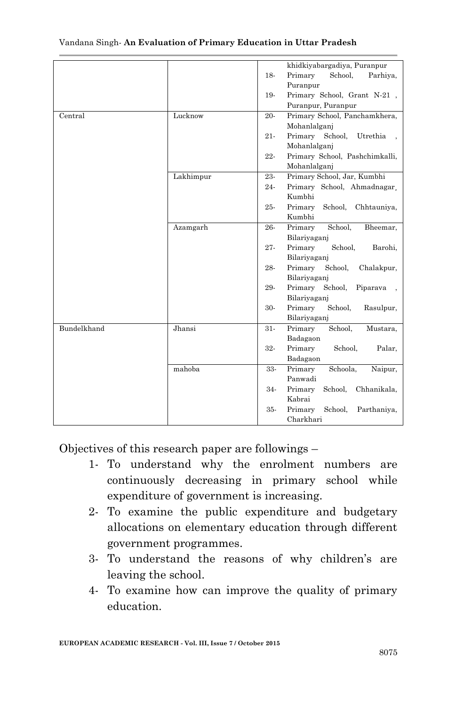|             |           |        | khidkiyabargadiya, Puranpur       |
|-------------|-----------|--------|-----------------------------------|
|             |           | 18-    | Primary<br>School.<br>Parhiya,    |
|             |           |        | Puranpur                          |
|             |           | 19-    | Primary School, Grant N-21,       |
|             |           |        | Puranpur, Puranpur                |
| Central     | Lucknow   | 20-    | Primary School, Panchamkhera,     |
|             |           |        | Mohanlalgani                      |
|             |           | $21 -$ | Primary School,<br>Utrethia       |
|             |           |        | Mohanlalganj                      |
|             |           | $22 -$ | Primary School, Pashchimkalli,    |
|             |           |        | Mohanlalganj                      |
|             | Lakhimpur | 23-    | Primary School, Jar, Kumbhi       |
|             |           | 24-    | Primary School, Ahmadnagar,       |
|             |           |        | Kumbhi                            |
|             |           | 25-    | Primary<br>School,<br>Chhtauniya, |
|             |           |        | Kumbhi                            |
|             | Azamgarh  | 26-    | Primary<br>School,<br>Bheemar,    |
|             |           |        | Bilariyaganj                      |
|             |           | $27 -$ | Primary<br>School,<br>Barohi,     |
|             |           |        | Bilariyaganj                      |
|             |           | 28-    | Primary<br>School,<br>Chalakpur,  |
|             |           |        | Bilariyagani                      |
|             |           | 29-    | Primary<br>School,<br>Piparava    |
|             |           |        | Bilariyaganj                      |
|             |           | 30-    | Primary<br>School,<br>Rasulpur,   |
|             |           |        | Bilariyaganj                      |
| Bundelkhand | Jhansi    | $31-$  | Primary<br>School,<br>Mustara,    |
|             |           |        | Badagaon                          |
|             |           | 32-    | Primary<br>School,<br>Palar,      |
|             |           |        | Badagaon                          |
|             | mahoba    | 33-    | Primary<br>Schoola.<br>Naipur,    |
|             |           |        | Panwadi                           |
|             |           | 34-    | Primary<br>School,<br>Chhanikala, |
|             |           |        | Kabrai                            |
|             |           | 35-    | Primary<br>School,<br>Parthaniya, |
|             |           |        | Charkhari                         |

#### Vandana Singh*-* **An Evaluation of Primary Education in Uttar Pradesh**

Objectives of this research paper are followings –

- 1- To understand why the enrolment numbers are continuously decreasing in primary school while expenditure of government is increasing.
- 2- To examine the public expenditure and budgetary allocations on elementary education through different government programmes.
- 3- To understand the reasons of why children"s are leaving the school.
- 4- To examine how can improve the quality of primary education.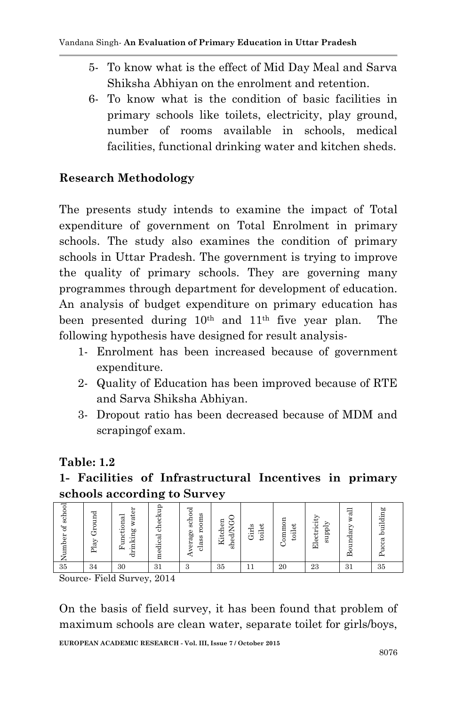- 5- To know what is the effect of Mid Day Meal and Sarva Shiksha Abhiyan on the enrolment and retention.
- 6- To know what is the condition of basic facilities in primary schools like toilets, electricity, play ground, number of rooms available in schools, medical facilities, functional drinking water and kitchen sheds.

## **Research Methodology**

The presents study intends to examine the impact of Total expenditure of government on Total Enrolment in primary schools. The study also examines the condition of primary schools in Uttar Pradesh. The government is trying to improve the quality of primary schools. They are governing many programmes through department for development of education. An analysis of budget expenditure on primary education has been presented during 10th and 11th five year plan.The following hypothesis have designed for result analysis-

- 1- Enrolment has been increased because of government expenditure.
- 2- Quality of Education has been improved because of RTE and Sarva Shiksha Abhiyan.
- 3- Dropout ratio has been decreased because of MDM and scrapingof exam.

## **Table: 1.2**

# **1- Facilities of Infrastructural Incentives in primary schools according to Survey**

| school<br>ð<br>Number | Ground<br>$_{\rm Play}$ | water<br>Functional<br>drinking | checkup<br>medical | verage school<br>oms<br>g<br>class | shed/NG<br>Kitchen | toilet<br>Girls | ommor<br>toilet<br>$\mathbf{r}$ | Electricity<br>supply | ಸ<br>mdary<br>Bo | building<br>cca |
|-----------------------|-------------------------|---------------------------------|--------------------|------------------------------------|--------------------|-----------------|---------------------------------|-----------------------|------------------|-----------------|
| 35                    | 34                      | 30                              | 31                 | 3                                  | 35                 | 11              | 20                              | 23                    | 31               | 35              |

Source- Field Survey, 2014

On the basis of field survey, it has been found that problem of maximum schools are clean water, separate toilet for girls/boys,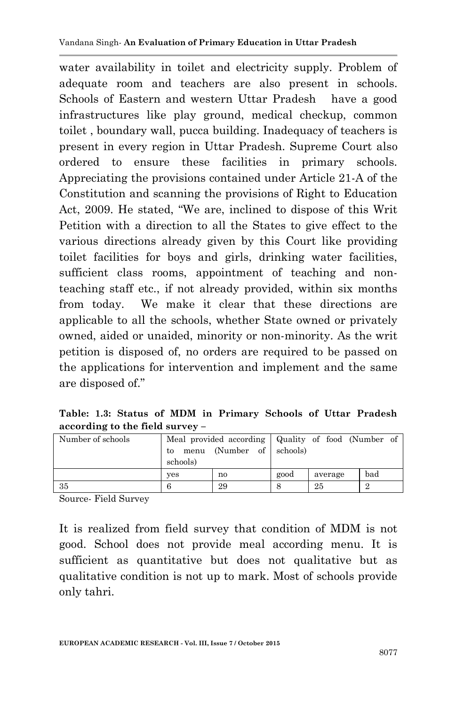water availability in toilet and electricity supply. Problem of adequate room and teachers are also present in schools. Schools of Eastern and western Uttar Pradesh have a good infrastructures like play ground, medical checkup, common toilet , boundary wall, pucca building. Inadequacy of teachers is present in every region in Uttar Pradesh. Supreme Court also ordered to ensure these facilities in primary schools. Appreciating the provisions contained under Article 21-A of the Constitution and scanning the provisions of Right to Education Act, 2009. He stated, "We are, inclined to dispose of this Writ Petition with a direction to all the States to give effect to the various directions already given by this Court like providing toilet facilities for boys and girls, drinking water facilities, sufficient class rooms, appointment of teaching and nonteaching staff etc., if not already provided, within six months from today. We make it clear that these directions are applicable to all the schools, whether State owned or privately owned, aided or unaided, minority or non-minority. As the writ petition is disposed of, no orders are required to be passed on the applications for intervention and implement and the same are disposed of."

**Table: 1.3: Status of MDM in Primary Schools of Uttar Pradesh according to the field survey –**

| Number of schools | to<br>schools) | Meal provided according   Quality of food (Number of<br>menu (Number of schools) |      |         |     |
|-------------------|----------------|----------------------------------------------------------------------------------|------|---------|-----|
|                   | ves            | no                                                                               | good | average | bad |
| 35                | 6              | 29                                                                               |      | 25      |     |

Source- Field Survey

It is realized from field survey that condition of MDM is not good. School does not provide meal according menu. It is sufficient as quantitative but does not qualitative but as qualitative condition is not up to mark. Most of schools provide only tahri.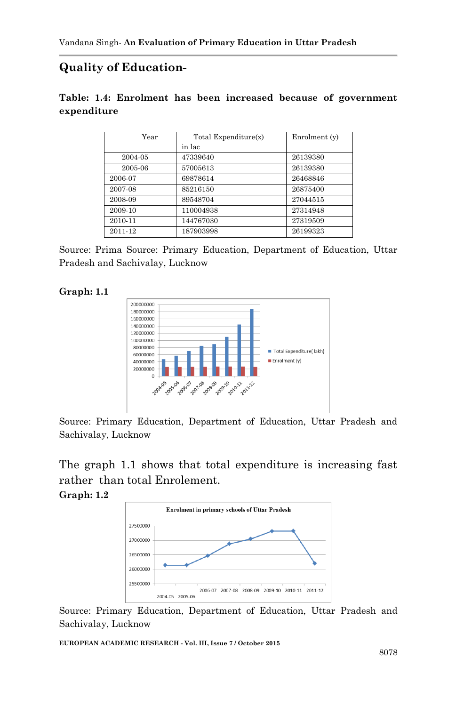## **Quality of Education-**

#### **Table: 1.4: Enrolment has been increased because of government expenditure**

| Year    | Total Expenditure(x) | Enrolment (y) |
|---------|----------------------|---------------|
|         | in lac               |               |
| 2004-05 | 47339640             | 26139380      |
| 2005-06 | 57005613             | 26139380      |
| 2006-07 | 69878614             | 26468846      |
| 2007-08 | 85216150             | 26875400      |
| 2008-09 | 89548704             | 27044515      |
| 2009-10 | 110004938            | 27314948      |
| 2010-11 | 144767030            | 27319509      |
| 2011-12 | 187903998            | 26199323      |

Source: Prima Source: Primary Education, Department of Education, Uttar Pradesh and Sachivalay, Lucknow

#### **Graph: 1.1**



Source: Primary Education, Department of Education, Uttar Pradesh and Sachivalay, Lucknow

The graph 1.1 shows that total expenditure is increasing fast rather than total Enrolement. **Graph: 1.2**



Source: Primary Education, Department of Education, Uttar Pradesh and Sachivalay, Lucknow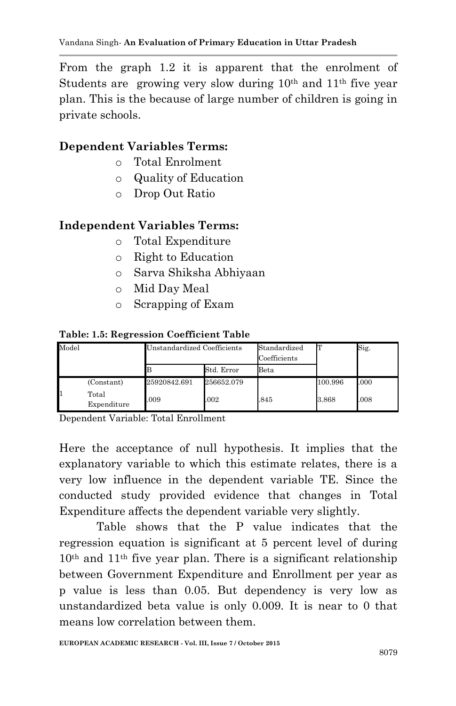From the graph 1.2 it is apparent that the enrolment of Students are growing very slow during  $10<sup>th</sup>$  and  $11<sup>th</sup>$  five year plan. This is the because of large number of children is going in private schools.

## **Dependent Variables Terms:**

- o Total Enrolment
- o Quality of Education
- o Drop Out Ratio

## **Independent Variables Terms:**

- o Total Expenditure
- o Right to Education
- o Sarva Shiksha Abhiyaan
- o Mid Day Meal
- o Scrapping of Exam

### **Table: 1.5: Regression Coefficient Table**

| Model |                      | Unstandardized Coefficients |            | Standardized<br>Coefficients |         | Sig. |
|-------|----------------------|-----------------------------|------------|------------------------------|---------|------|
|       |                      |                             | Std. Error | Beta                         |         |      |
|       | (Constant)           | 25920842.691                | 256652.079 |                              | 100.996 | .000 |
| 11    | Total<br>Expenditure | .009                        | .002       | .845                         | 3.868   | .008 |

Dependent Variable: Total Enrollment

Here the acceptance of null hypothesis. It implies that the explanatory variable to which this estimate relates, there is a very low influence in the dependent variable TE. Since the conducted study provided evidence that changes in Total Expenditure affects the dependent variable very slightly.

Table shows that the P value indicates that the regression equation is significant at 5 percent level of during 10th and 11th five year plan. There is a significant relationship between Government Expenditure and Enrollment per year as p value is less than 0.05. But dependency is very low as unstandardized beta value is only 0.009. It is near to 0 that means low correlation between them.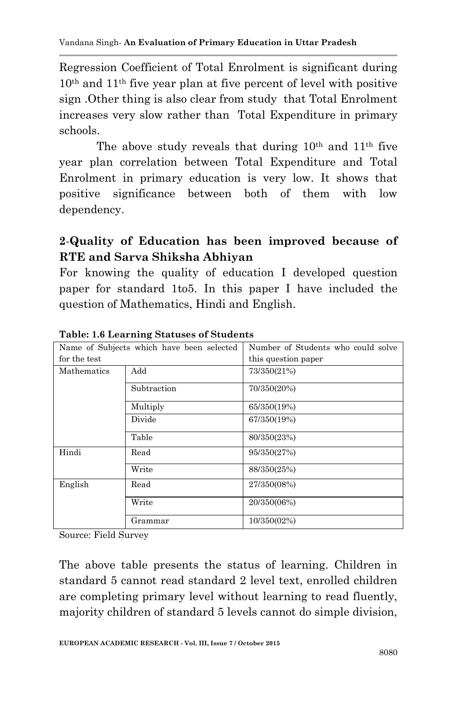Regression Coefficient of Total Enrolment is significant during 10th and 11th five year plan at five percent of level with positive sign .Other thing is also clear from study that Total Enrolment increases very slow rather than Total Expenditure in primary schools.

The above study reveals that during  $10<sup>th</sup>$  and  $11<sup>th</sup>$  five year plan correlation between Total Expenditure and Total Enrolment in primary education is very low. It shows that positive significance between both of them with low dependency.

# **2**-**Quality of Education has been improved because of RTE and Sarva Shiksha Abhiyan**

For knowing the quality of education I developed question paper for standard 1to5. In this paper I have included the question of Mathematics, Hindi and English.

|              | Name of Subjects which have been selected | Number of Students who could solve |  |  |
|--------------|-------------------------------------------|------------------------------------|--|--|
| for the test |                                           | this question paper                |  |  |
| Mathematics  | Add                                       | 73/350(21%)                        |  |  |
|              | Subtraction                               | 70/350(20%)                        |  |  |
|              | Multiply                                  | 65/350(19%)                        |  |  |
|              | Divide                                    | 67/350(19%)                        |  |  |
|              | Table                                     | 80/350(23%)                        |  |  |
| Hindi        | Read                                      | 95/350(27%)                        |  |  |
|              | Write                                     | 88/350(25%)                        |  |  |
| English      | Read                                      | 27/350(08%)                        |  |  |
|              | Write                                     | 20/350(06%)                        |  |  |
|              | Grammar                                   | 10/350(02%)                        |  |  |

**Table: 1.6 Learning Statuses of Students**

Source: Field Survey

The above table presents the status of learning. Children in standard 5 cannot read standard 2 level text, enrolled children are completing primary level without learning to read fluently, majority children of standard 5 levels cannot do simple division,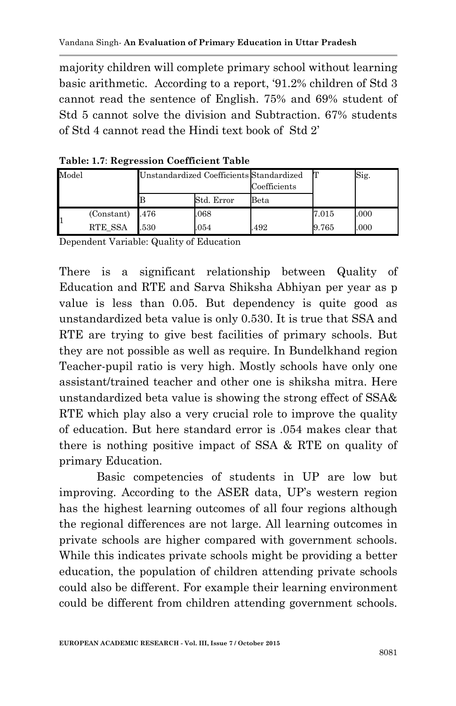majority children will complete primary school without learning basic arithmetic. According to a report, "91.2% children of Std 3 cannot read the sentence of English. 75% and 69% student of Std 5 cannot solve the division and Subtraction. 67% students of Std 4 cannot read the Hindi text book of Std 2"

| Model |                   | Unstandardized Coefficients Standardized |            | Coefficients |       | $\mathrm{Sig.}$ |
|-------|-------------------|------------------------------------------|------------|--------------|-------|-----------------|
|       |                   |                                          | Std. Error | Beta         |       |                 |
|       | $(Constant)$ .476 |                                          | .068       |              | 7.015 | .000            |
|       | RTE_SSA           | 530                                      | .054       | 492          | 9.765 | .000            |

**Table: 1.7**: **Regression Coefficient Table**

Dependent Variable: Quality of Education

There is a significant relationship between Quality of Education and RTE and Sarva Shiksha Abhiyan per year as p value is less than 0.05. But dependency is quite good as unstandardized beta value is only 0.530. It is true that SSA and RTE are trying to give best facilities of primary schools. But they are not possible as well as require. In Bundelkhand region Teacher-pupil ratio is very high. Mostly schools have only one assistant/trained teacher and other one is shiksha mitra. Here unstandardized beta value is showing the strong effect of SSA& RTE which play also a very crucial role to improve the quality of education. But here standard error is .054 makes clear that there is nothing positive impact of SSA & RTE on quality of primary Education.

Basic competencies of students in UP are low but improving. According to the ASER data, UP's western region has the highest learning outcomes of all four regions although the regional differences are not large. All learning outcomes in private schools are higher compared with government schools. While this indicates private schools might be providing a better education, the population of children attending private schools could also be different. For example their learning environment could be different from children attending government schools.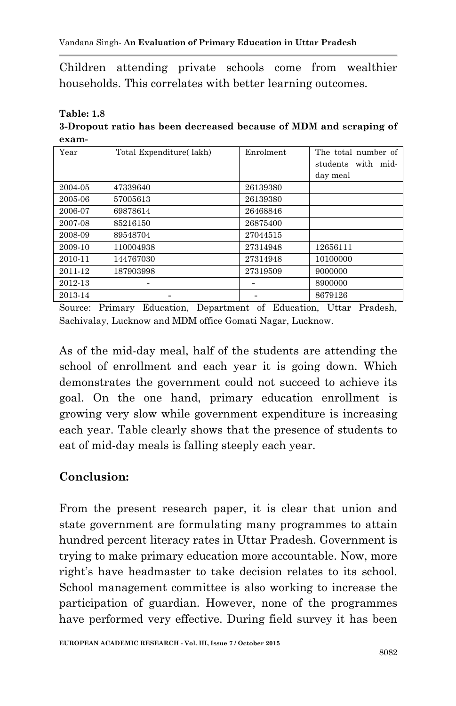Children attending private schools come from wealthier households. This correlates with better learning outcomes.

**Table: 1.8**

**3-Dropout ratio has been decreased because of MDM and scraping of exam-**

| Year    | Total Expenditure(lakh) | Enrolment | The total number of<br>students with mid- |
|---------|-------------------------|-----------|-------------------------------------------|
|         |                         |           | day meal                                  |
| 2004-05 | 47339640                | 26139380  |                                           |
| 2005-06 | 57005613                | 26139380  |                                           |
| 2006-07 | 69878614                | 26468846  |                                           |
| 2007-08 | 85216150                | 26875400  |                                           |
| 2008-09 | 89548704                | 27044515  |                                           |
| 2009-10 | 110004938               | 27314948  | 12656111                                  |
| 2010-11 | 144767030               | 27314948  | 10100000                                  |
| 2011-12 | 187903998               | 27319509  | 9000000                                   |
| 2012-13 |                         |           | 8900000                                   |
| 2013-14 |                         |           | 8679126                                   |

Source: Primary Education, Department of Education, Uttar Pradesh, Sachivalay, Lucknow and MDM office Gomati Nagar, Lucknow.

As of the mid-day meal, half of the students are attending the school of enrollment and each year it is going down. Which demonstrates the government could not succeed to achieve its goal. On the one hand, primary education enrollment is growing very slow while government expenditure is increasing each year. Table clearly shows that the presence of students to eat of mid-day meals is falling steeply each year.

# **Conclusion:**

From the present research paper, it is clear that union and state government are formulating many programmes to attain hundred percent literacy rates in Uttar Pradesh. Government is trying to make primary education more accountable. Now, more right's have headmaster to take decision relates to its school. School management committee is also working to increase the participation of guardian. However, none of the programmes have performed very effective. During field survey it has been